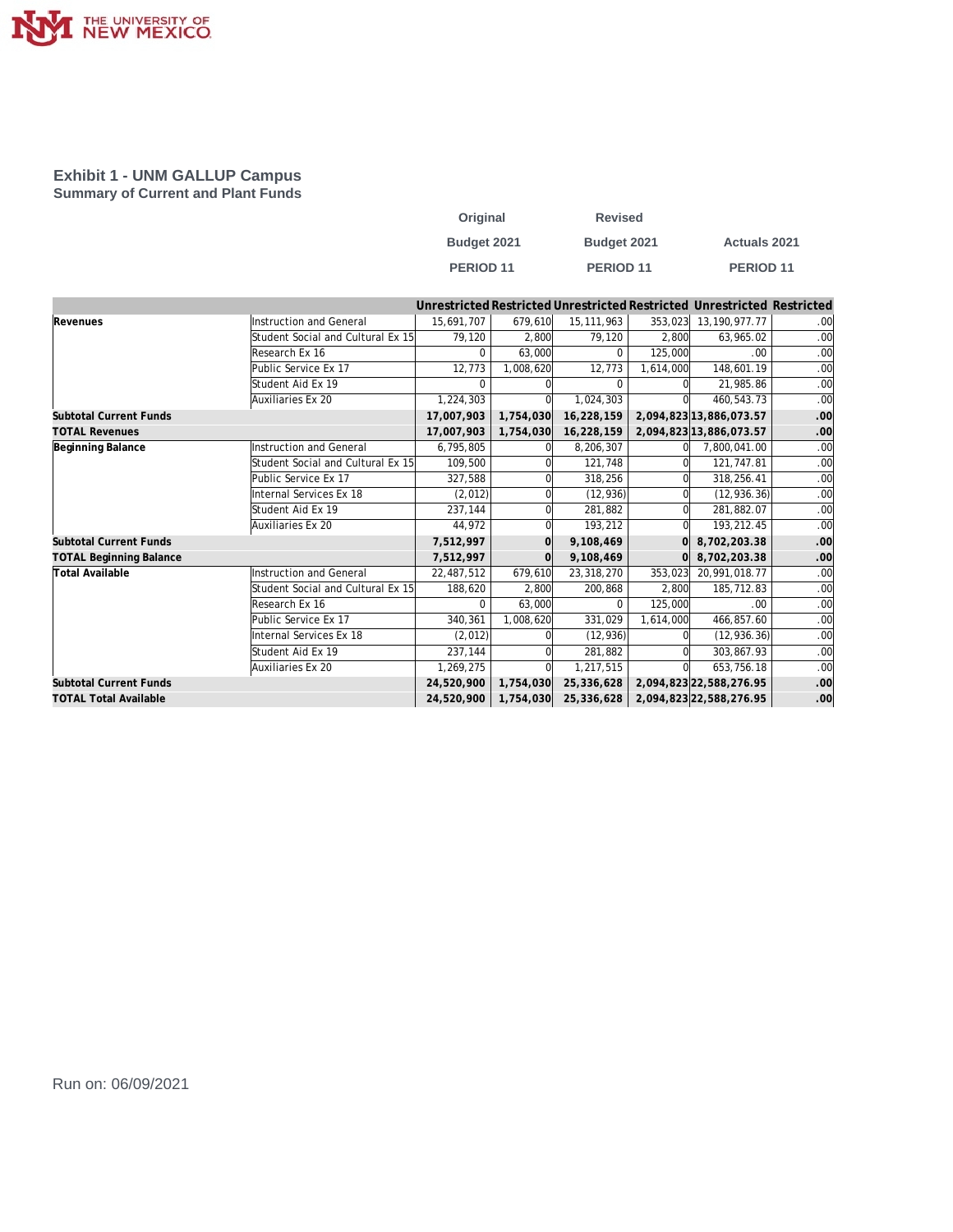

## **Exhibit 1 - UNM GALLUP Campus Summary of Current and Plant Funds**

| Original    | <b>Revised</b>       |                      |
|-------------|----------------------|----------------------|
| Budget 2021 | Budget 2021          | <b>Actuals 2021</b>  |
| PERIOD 11   | PERIOD <sub>11</sub> | PERIOD <sub>11</sub> |

|                                |                                   |            |           |              |           | Unrestricted Restricted Unrestricted Restricted Unrestricted Restricted |                  |
|--------------------------------|-----------------------------------|------------|-----------|--------------|-----------|-------------------------------------------------------------------------|------------------|
| Revenues                       | Instruction and General           | 15.691.707 | 679.610   | 15, 111, 963 | 353,023   | 13, 190, 977. 77                                                        | .00 <sub>l</sub> |
|                                | Student Social and Cultural Ex 15 | 79,120     | 2.800     | 79,120       | 2.800     | 63,965.02                                                               | .00              |
|                                | Research Ex 16                    | $\Omega$   | 63,000    | 0            | 125,000   | .00                                                                     | .00              |
|                                | Public Service Ex 17              | 12,773     | 1,008,620 | 12,773       | 1,614,000 | 148,601.19                                                              | .00              |
|                                | Student Aid Ex 19                 | $\Omega$   |           | $\Omega$     |           | 21,985.86                                                               | .00              |
|                                | Auxiliaries Ex 20                 | 1,224,303  |           | 1,024,303    |           | 460,543.73                                                              | .00              |
| <b>Subtotal Current Funds</b>  |                                   | 17,007,903 | 1,754,030 | 16,228,159   |           | 2,094,823 13,886,073.57                                                 | .00              |
| <b>TOTAL Revenues</b>          |                                   | 17,007,903 | 1,754,030 | 16,228,159   |           | 2,094,823 13,886,073.57                                                 | .00              |
| Beginning Balance              | Instruction and General           | 6,795,805  |           | 8,206,307    |           | 7,800,041.00                                                            | .00              |
|                                | Student Social and Cultural Ex 15 | 109,500    |           | 121,748      |           | 121,747.81                                                              | .00              |
|                                | Public Service Ex 17              | 327,588    |           | 318,256      |           | 318,256.41                                                              | .00              |
|                                | Internal Services Ex 18           | (2,012)    |           | (12, 936)    |           | (12, 936.36)                                                            | .00              |
|                                | Student Aid Ex 19                 | 237,144    |           | 281,882      | ΩI        | 281,882.07                                                              | .00              |
|                                | Auxiliaries Ex 20                 | 44,972     |           | 193,212      |           | 193,212.45                                                              | .00              |
| <b>Subtotal Current Funds</b>  |                                   | 7,512,997  |           | 9,108,469    |           | 8,702,203.38                                                            | .00              |
| <b>TOTAL Beginning Balance</b> |                                   | 7,512,997  |           | 9,108,469    | $\Omega$  | 8,702,203.38                                                            | .00              |
| Total Available                | Instruction and General           | 22,487,512 | 679,610   | 23,318,270   | 353,023   | 20,991,018.77                                                           | .00              |
|                                | Student Social and Cultural Ex 15 | 188,620    | 2.800     | 200,868      | 2.800     | 185,712.83                                                              | .00              |
|                                | Research Ex 16                    | 0          | 63,000    | $\Omega$     | 125,000   | .00                                                                     | .00              |
|                                | Public Service Ex 17              | 340,361    | 1.008.620 | 331,029      | 1.614.000 | 466,857.60                                                              | .00              |
|                                | Internal Services Ex 18           | (2,012)    |           | (12, 936)    |           | (12, 936.36)                                                            | .00              |
|                                | Student Aid Ex 19                 | 237,144    |           | 281,882      |           | 303.867.93                                                              | .00              |
|                                | Auxiliaries Ex 20                 | 1,269,275  |           | 1,217,515    |           | 653.756.18                                                              | .00              |
| <b>Subtotal Current Funds</b>  |                                   | 24,520,900 | 1,754,030 | 25,336,628   |           | 2,094,823 22,588,276.95                                                 | .00              |
| <b>TOTAL Total Available</b>   |                                   | 24,520,900 | 1,754,030 | 25,336,628   |           | 2,094,823 22,588,276.95                                                 | .00              |